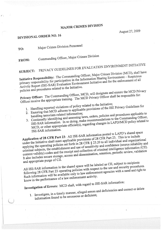## **MAJOR CRIMES DIVISION**

August 27, 2009

## DIVISIONAL ORDER NO. 16

TO:

Major Crimes Division Personnel

Commanding Officer, Major Crimes Division FROM:

## PRIVACY GUIDELINES FOR EVALUATION ENVIRONMENT INITIATIVE **SUBJECT:**

Initiative Responsibility: The Commanding Officer, Major Crimes Division (MCD), shall have primary responsibility for participation in the Information Sharing Environment – Suspicious Activity Report (ISE-SAR) Evaluation Environment Initiative and for the enforcement of all policies and procedures related to the Initiative.

Privacy Officer: The Commanding Officer, MCD, will designate and ensure the MCD Privacy Officer receive the appropriate training. The MCD Privacy Officer shall be responsible for:

- 
- 1. Handling reported violations of policy related to the Initiative; 2. Ensuring that MCD adheres to applicable provisions of the ISE Privacy Guidelines for
- 
- 3. Continually identifying and assessing laws, orders, policies and procedures applicable to ISE-SAR information. In so doing, make recommendations to the Commanding Officer, MCD, or other appropriate official(s), regarding changes in LAPD/MCD policy related to
- ISE-SAR information.

Application of 28 CFR Part 23: All ISE-SAR information posted to LAPD's shared space under the Initiative shall meet applicable provisions of 28 CFR Part 23. This is to include applying the operating policies set forth in 28 CFR § 23.20 to all individual and organizational criminal subjects, the establishment and use of sensitivity and confidence (source reliability and content validity) codes and the receipt and collection of criminal intelligence information (CII). It also includes secure storage, access and dissemination, retention, periodic review, validation and appropriate purge of CII.

All ISE-SAR information in the shared space will be labeled as CII, subject to recipients following 28 CFR Part 23 operating policies with respect to the use and security procedures. Such information will be available only to law enforcement agencies with a need and right to know in the performance of a law enforcement activity.

Investigation of Errors: MCD shall, with regard to ISE-SAR information:

1. Investigate, in a timely manner, alleged errors and deficiencies and correct or delete information found to be erroneous or deficient;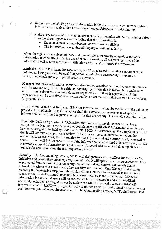- 2. i Reevaluate t nformation i the labeling of such information in the shared space when new or updated is received that has an impact on confidence in the information;
- 3. fr( Make every reasonable effort to ensure that such information will be corrected or deleted<br>from the shared space upon concluding that the information is: om the shared
	- $\bullet$ Erroneous, misleading, obsolete, or otherwise unreliable;
	- <sup>T</sup>he information was gathered illegally or without authority.

i When the rights of the subject of inaccurate, incomplete, incorrectly merged, or out of date<br>information may be affected by the use of multiple incorrectly merged, or out of date nformation may be a information will receive  $\epsilon$ affected by the use of such information, all recipient agencies of the electronic notification of the need to destroy the information.

c Analysis: ISE-SAR information received by MCD or accessed from other sources shall be<br>collated and analyzed only by qualified as ollated and analyzed only by qualified personnel who have successfully completed <sup>a</sup> background check and any required security clearance.

s M hall erger: ISE-SAR information about an individual or organization from two or more sources<br>all be merged only if there is sufficient identifying in the set of the more sources be merged only if there is sufficient identifying information to reasonably conclude the<br>nation is about the same individual information is about the same individual or organization. If there is a partial match the <sup>i</sup>nformation may Information may be associated if accompanied by a clear statement that the match has not been<br>fully established.

Information Access and Redress: ISE-SAR information shall not be available to the public, as<br>provided by applicable LAPD policy, por shall the said provided by applicable LAPD r information appricable LAPD policy, nor shall the existence or nonexistence of specific be confirmed to persons or agencies that are not eligible to receive the information.

If an individual, using existing LAPD information request/complaint mechanisms, has a<br>complaint or objection to the assume complaint or objection to the accuracy or completeness of ISE-SAR information about him or<br>her that is alleged to be hald by LAPD and CID ACD DISCOP her that is alleged to be held by LAPD or MCD, MCD will acknowledge the complaint and state<br>that it will conduct an appropriate review. It is not to be a complaint and state that it will conduct an appropriate review. If there is any personal information about that<br>individual in an ISE SAR, the information will be interested. individual in an ISE-SAR, the information will be (1) reviewed and verified, or (2) corrected or deleted from the ISE-SAR shared space if the information is determined to be erroneous, include incorrectly merged information or is superfield to the error of the information of  $\mathcal{L}$ incorrectly merged information or is out of date. A record will be kept of all complaints and<br>requests for corrections and the resulting set in the second will be kept of all complaints and <sup>r</sup>equests for corrections and the resulting action, if any.

I S nitiative a ecurity: an The C the Commanding Officer, MCD, will designate a security officer for the ISE-SAR<br>d ensure they are adequately troined. MCD, ..., is protected from external intrusion, using secure internal and external safeguards against<br>network intrusions of ISE SAP and other with the secure internal safeguards against ensure they are adequately trained. MCD will operate in a secure environment that network intrusions of ISE-SAR and other sensitive information. Only ISE-SAR information<br>reaching the 'reasonable suspicion' threshold will be not iterated the SAR information reaching the 'reasonable suspicion' threshold will be submitted to the shared space. Outside<br>access to the ISE-SAR shared masses. The manufactured to the shared space. Outside access to the ISE-SAR shared space will be allowed only over secure networks. ISE-SAR information in the shared space will be secured such that it cannot be added to, modified,<br>accessed, destroyed, or pureed sucesting the secured in 11,500 accessed, destroyed, or purged except by authorized MCD personnel. Access to ISE-SAR information within positions and job LAPD will be granted only to properly screened and trained personnel whose duties require such access. The Commanding Officer, MCD, shall ensure that